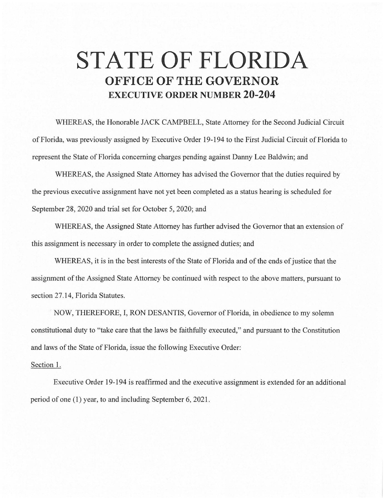## **STATE OF FLORIDA OFFICE OF THE GOVERNOR EXECUTIVE ORDER NUMBER 20-204**

WHEREAS, the Honorable JACK CAMPBELL, State Attorney for the Second Judicial Circuit of Florida, was previously assigned by Executive Order 19-194 to the First Judicial Circuit of Florida to represent the State of Florida concerning charges pending against Danny Lee Baldwin; and

WHEREAS, the Assigned State Attorney has advised the Governor that the duties required by the previous executive assignment have not yet been completed as a status hearing is scheduled for September 28, 2020 and trial set for October 5, 2020; and

WHEREAS, the Assigned State Attorney has further advised the Governor that an extension of this assignment is necessary in order to complete the assigned duties; and

WHEREAS, it is in the best interests of the State of Florida and of the ends of justice that the assignment of the Assigned State Attorney be continued with respect to the above matters, pursuant to section 27.14, Florida Statutes.

NOW, THEREFORE, I, RON DESANTIS, Governor of Florida, in obedience to my solemn constitutional duty to "take care that the laws be faithfully executed," and pursuant to the Constitution and laws of the State of Florida, issue the following Executive Order:

## Section 1.

Executive Order 19-194 is reaffirmed and the executive assignment is extended for an additional period of one (1) year, to and including September 6, 2021.